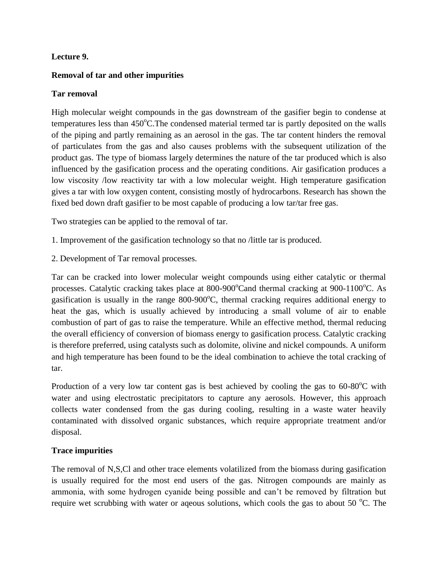## **Lecture 9.**

## **Removal of tar and other impurities**

## **Tar removal**

High molecular weight compounds in the gas downstream of the gasifier begin to condense at temperatures less than 450°C. The condensed material termed tar is partly deposited on the walls of the piping and partly remaining as an aerosol in the gas. The tar content hinders the removal of particulates from the gas and also causes problems with the subsequent utilization of the product gas. The type of biomass largely determines the nature of the tar produced which is also influenced by the gasification process and the operating conditions. Air gasification produces a low viscosity /low reactivity tar with a low molecular weight. High temperature gasification gives a tar with low oxygen content, consisting mostly of hydrocarbons. Research has shown the fixed bed down draft gasifier to be most capable of producing a low tar/tar free gas.

Two strategies can be applied to the removal of tar.

- 1. Improvement of the gasification technology so that no /little tar is produced.
- 2. Development of Tar removal processes.

Tar can be cracked into lower molecular weight compounds using either catalytic or thermal processes. Catalytic cracking takes place at  $800-900^{\circ}$ Cand thermal cracking at  $900-1100^{\circ}$ C. As gasification is usually in the range  $800-900^{\circ}$ C, thermal cracking requires additional energy to heat the gas, which is usually achieved by introducing a small volume of air to enable combustion of part of gas to raise the temperature. While an effective method, thermal reducing the overall efficiency of conversion of biomass energy to gasification process. Catalytic cracking is therefore preferred, using catalysts such as dolomite, olivine and nickel compounds. A uniform and high temperature has been found to be the ideal combination to achieve the total cracking of tar.

Production of a very low tar content gas is best achieved by cooling the gas to  $60-80^{\circ}$ C with water and using electrostatic precipitators to capture any aerosols. However, this approach collects water condensed from the gas during cooling, resulting in a waste water heavily contaminated with dissolved organic substances, which require appropriate treatment and/or disposal.

## **Trace impurities**

The removal of N,S,Cl and other trace elements volatilized from the biomass during gasification is usually required for the most end users of the gas. Nitrogen compounds are mainly as ammonia, with some hydrogen cyanide being possible and can't be removed by filtration but require wet scrubbing with water or aqeous solutions, which cools the gas to about 50  $^{\circ}$ C. The